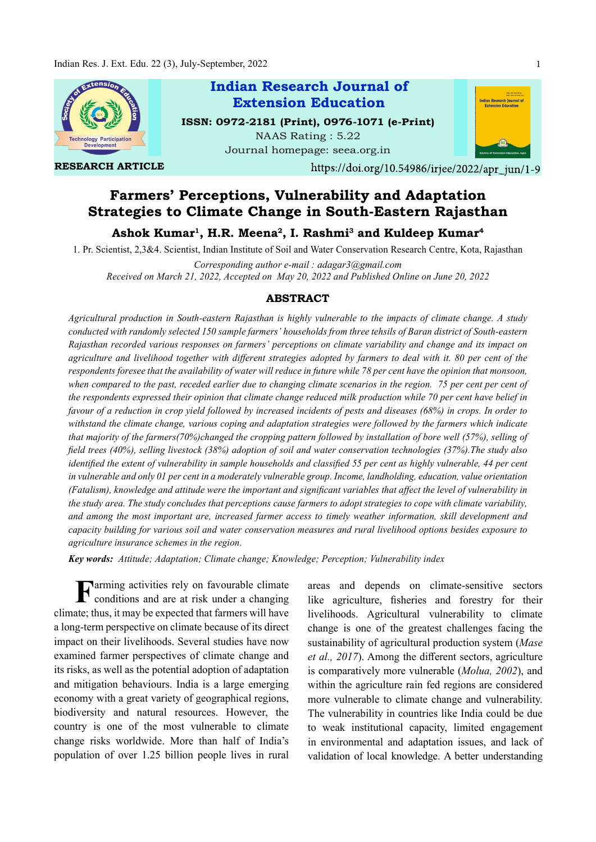

Farmers' Perceptions, Vulnerability and Adaptation Strategies to Climate Change in South-Eastern Rajasthan

Ashok Kumar<sup>1</sup>, H.R. Meena<sup>2</sup>, I. Rashmi<sup>3</sup> and Kuldeep Kumar<sup>4</sup>

1. Pr. Scientist, 2,3&4. Scientist, Indian Institute of Soil and Water Conservation Research Centre, Kota, Rajasthan

Corresponding author e-mail : adagar3@gmail.com Received on March 21, 2022, Accepted on May 20, 2022 and Published Online on June 20, 2022

### ABSTRACT

Agricultural production in South-eastern Rajasthan is highly vulnerable to the impacts of climate change. A study conducted with randomly selected 150 sample farmers' households from three tehsils of Baran district of South-eastern Rajasthan recorded various responses on farmers' perceptions on climate variability and change and its impact on agriculture and livelihood together with different strategies adopted by farmers to deal with it. 80 per cent of the respondents foresee that the availability of water will reduce in future while 78 per cent have the opinion that monsoon, when compared to the past, receded earlier due to changing climate scenarios in the region. 75 per cent per cent of the respondents expressed their opinion that climate change reduced milk production while 70 per cent have belief in favour of a reduction in crop yield followed by increased incidents of pests and diseases (68%) in crops. In order to withstand the climate change, various coping and adaptation strategies were followed by the farmers which indicate that majority of the farmers(70%)changed the cropping pattern followed by installation of bore well (57%), selling of field trees (40%), selling livestock (38%) adoption of soil and water conservation technologies (37%). The study also identified the extent of vulnerability in sample households and classified 55 per cent as highly vulnerable, 44 per cent in vulnerable and only 01 per cent in a moderately vulnerable group. Income, landholding, education, value orientation (Fatalism), knowledge and attitude were the important and significant variables that affect the level of vulnerability in the study area. The study concludes that perceptions cause farmers to adopt strategies to cope with climate variability, and among the most important are, increased farmer access to timely weather information, skill development and capacity building for various soil and water conservation measures and rural livelihood options besides exposure to agriculture insurance schemes in the region.

Key words: Attitude; Adaptation; Climate change; Knowledge; Perception; Vulnerability index

Farming activities rely on favourable climate areas and d<br>conditions and are at risk under a changing like agriculture conditions and are at risk under a changing climate; thus, it may be expected that farmers will have a long-term perspective on climate because of its direct impact on their livelihoods. Several studies have now examined farmer perspectives of climate change and its risks, as well as the potential adoption of adaptation and mitigation behaviours. India is a large emerging economy with a great variety of geographical regions, biodiversity and natural resources. However, the country is one of the most vulnerable to climate change risks worldwide. More than half of India's population of over 1.25 billion people lives in rural

areas and depends on climate-sensitive sectors like agriculture, fisheries and forestry for their livelihoods. Agricultural vulnerability to climate change is one of the greatest challenges facing the sustainability of agricultural production system (Mase *et al., 2017*). Among the different sectors, agriculture is comparatively more vulnerable (Molua, 2002), and within the agriculture rain fed regions are considered more vulnerable to climate change and vulnerability. The vulnerability in countries like India could be due to weak institutional capacity, limited engagement in environmental and adaptation issues, and lack of validation of local knowledge. A better understanding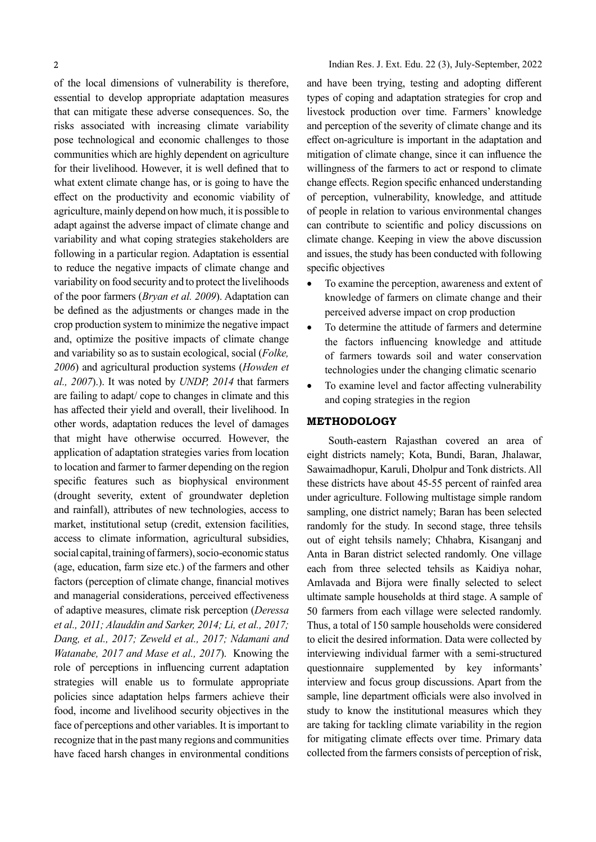of the local dimensions of vulnerability is therefore, essential to develop appropriate adaptation measures that can mitigate these adverse consequences. So, the risks associated with increasing climate variability pose technological and economic challenges to those communities which are highly dependent on agriculture for their livelihood. However, it is well defined that to what extent climate change has, or is going to have the effect on the productivity and economic viability of agriculture, mainly depend on how much, it is possible to adapt against the adverse impact of climate change and variability and what coping strategies stakeholders are following in a particular region. Adaptation is essential to reduce the negative impacts of climate change and variability on food security and to protect the livelihoods of the poor farmers (Bryan et al. 2009). Adaptation can be defined as the adjustments or changes made in the crop production system to minimize the negative impact and, optimize the positive impacts of climate change and variability so as to sustain ecological, social (Folke, 2006) and agricultural production systems (Howden et al., 2007).). It was noted by UNDP, 2014 that farmers are failing to adapt/ cope to changes in climate and this has affected their yield and overall, their livelihood. In other words, adaptation reduces the level of damages that might have otherwise occurred. However, the application of adaptation strategies varies from location to location and farmer to farmer depending on the region specific features such as biophysical environment (drought severity, extent of groundwater depletion and rainfall), attributes of new technologies, access to market, institutional setup (credit, extension facilities, access to climate information, agricultural subsidies, social capital, training of farmers), socio-economic status (age, education, farm size etc.) of the farmers and other factors (perception of climate change, financial motives and managerial considerations, perceived effectiveness of adaptive measures, climate risk perception (Deressa et al., 2011; Alauddin and Sarker, 2014; Li, et al., 2017; Dang, et al., 2017; Zeweld et al., 2017; Ndamani and Watanabe, 2017 and Mase et al., 2017). Knowing the role of perceptions in influencing current adaptation strategies will enable us to formulate appropriate policies since adaptation helps farmers achieve their food, income and livelihood security objectives in the face of perceptions and other variables. It is important to recognize that in the past many regions and communities have faced harsh changes in environmental conditions

and have been trying, testing and adopting different types of coping and adaptation strategies for crop and livestock production over time. Farmers' knowledge and perception of the severity of climate change and its effect on-agriculture is important in the adaptation and mitigation of climate change, since it can influence the willingness of the farmers to act or respond to climate change effects. Region specific enhanced understanding of perception, vulnerability, knowledge, and attitude of people in relation to various environmental changes can contribute to scientific and policy discussions on climate change. Keeping in view the above discussion and issues, the study has been conducted with following specific objectives

- To examine the perception, awareness and extent of knowledge of farmers on climate change and their perceived adverse impact on crop production
- To determine the attitude of farmers and determine the factors influencing knowledge and attitude of farmers towards soil and water conservation technologies under the changing climatic scenario
- To examine level and factor affecting vulnerability and coping strategies in the region

## METHODOLOGY

South-eastern Rajasthan covered an area of eight districts namely; Kota, Bundi, Baran, Jhalawar, Sawaimadhopur, Karuli, Dholpur and Tonk districts. All these districts have about 45-55 percent of rainfed area under agriculture. Following multistage simple random sampling, one district namely; Baran has been selected randomly for the study. In second stage, three tehsils out of eight tehsils namely; Chhabra, Kisanganj and Anta in Baran district selected randomly. One village each from three selected tehsils as Kaidiya nohar, Amlavada and Bijora were finally selected to select ultimate sample households at third stage. A sample of 50 farmers from each village were selected randomly. Thus, a total of 150 sample households were considered to elicit the desired information. Data were collected by interviewing individual farmer with a semi-structured questionnaire supplemented by key informants' interview and focus group discussions. Apart from the sample, line department officials were also involved in study to know the institutional measures which they are taking for tackling climate variability in the region for mitigating climate effects over time. Primary data collected from the farmers consists of perception of risk,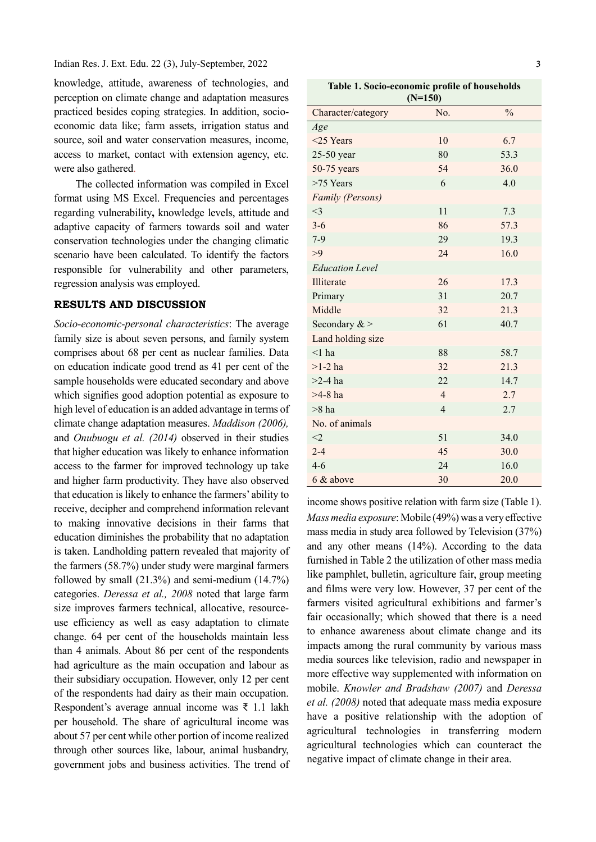knowledge, attitude, awareness of technologies, and perception on climate change and adaptation measures practiced besides coping strategies. In addition, socioeconomic data like; farm assets, irrigation status and source, soil and water conservation measures, income, access to market, contact with extension agency, etc. were also gathered.

The collected information was compiled in Excel format using MS Excel. Frequencies and percentages regarding vulnerability, knowledge levels, attitude and adaptive capacity of farmers towards soil and water conservation technologies under the changing climatic scenario have been calculated. To identify the factors responsible for vulnerability and other parameters, regression analysis was employed.

# RESULTS AND DISCUSSION

Socio-economic-personal characteristics: The average family size is about seven persons, and family system comprises about 68 per cent as nuclear families. Data on education indicate good trend as 41 per cent of the sample households were educated secondary and above which signifies good adoption potential as exposure to high level of education is an added advantage in terms of climate change adaptation measures. Maddison (2006), and Onubuogu et al. (2014) observed in their studies that higher education was likely to enhance information access to the farmer for improved technology up take and higher farm productivity. They have also observed that education is likely to enhance the farmers' ability to receive, decipher and comprehend information relevant to making innovative decisions in their farms that education diminishes the probability that no adaptation is taken. Landholding pattern revealed that majority of the farmers (58.7%) under study were marginal farmers followed by small (21.3%) and semi-medium (14.7%) categories. Deressa et al., 2008 noted that large farm size improves farmers technical, allocative, resourceuse efficiency as well as easy adaptation to climate change. 64 per cent of the households maintain less than 4 animals. About 86 per cent of the respondents had agriculture as the main occupation and labour as their subsidiary occupation. However, only 12 per cent of the respondents had dairy as their main occupation. Respondent's average annual income was ₹ 1.1 lakh per household. The share of agricultural income was about 57 per cent while other portion of income realized through other sources like, labour, animal husbandry, government jobs and business activities. The trend of

Table 1. Socio-economic profile of households

| $(N=150)$               |                |               |  |  |  |  |
|-------------------------|----------------|---------------|--|--|--|--|
| Character/category      | No.            | $\frac{0}{0}$ |  |  |  |  |
| Age                     |                |               |  |  |  |  |
| $<$ 25 Years            | 10             | 6.7           |  |  |  |  |
| 25-50 year              | 80             | 53.3          |  |  |  |  |
| 50-75 years             | 54             | 36.0          |  |  |  |  |
| $>75$ Years             | 6              | 4.0           |  |  |  |  |
| <b>Family (Persons)</b> |                |               |  |  |  |  |
| $<$ 3                   | 11             | 7.3           |  |  |  |  |
| $3 - 6$                 | 86             | 57.3          |  |  |  |  |
| $7-9$                   | 29             | 19.3          |  |  |  |  |
| >9                      | 24             | 16.0          |  |  |  |  |
| <b>Education Level</b>  |                |               |  |  |  |  |
| Illiterate              | 26             | 17.3          |  |  |  |  |
| Primary                 | 31             | 20.7          |  |  |  |  |
| Middle                  | 32             | 21.3          |  |  |  |  |
| Secondary $>$           | 61             | 40.7          |  |  |  |  |
| Land holding size       |                |               |  |  |  |  |
| $<$ 1 ha                | 88             | 58.7          |  |  |  |  |
| $>1-2$ ha               | 32             | 21.3          |  |  |  |  |
| $>2-4$ ha               | 22             | 14.7          |  |  |  |  |
| $>4-8$ ha               | $\overline{4}$ | 2.7           |  |  |  |  |
| $>8$ ha                 | $\overline{4}$ | 2.7           |  |  |  |  |
| No. of animals          |                |               |  |  |  |  |
| $<$ 2                   | 51             | 34.0          |  |  |  |  |
| $2 - 4$                 | 45             | 30.0          |  |  |  |  |
| $4 - 6$                 | 24             | 16.0          |  |  |  |  |
| 6 & above               | 30             | 20.0          |  |  |  |  |

income shows positive relation with farm size (Table 1). Mass media exposure: Mobile (49%) was a very effective mass media in study area followed by Television (37%) and any other means (14%). According to the data furnished in Table 2 the utilization of other mass media like pamphlet, bulletin, agriculture fair, group meeting and films were very low. However, 37 per cent of the farmers visited agricultural exhibitions and farmer's fair occasionally; which showed that there is a need to enhance awareness about climate change and its impacts among the rural community by various mass media sources like television, radio and newspaper in more effective way supplemented with information on mobile. Knowler and Bradshaw (2007) and Deressa et al. (2008) noted that adequate mass media exposure have a positive relationship with the adoption of agricultural technologies in transferring modern agricultural technologies which can counteract the negative impact of climate change in their area.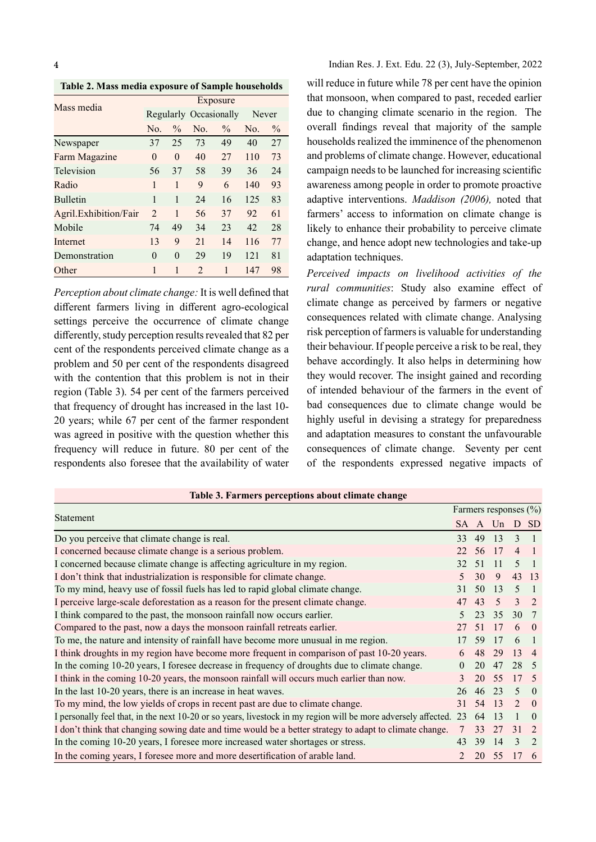Table 2. Mass media exposure of Sample households

| Mass media            | Exposure       |               |                |                        |                |               |  |  |  |
|-----------------------|----------------|---------------|----------------|------------------------|----------------|---------------|--|--|--|
|                       |                |               |                | Regularly Occasionally |                | Never         |  |  |  |
|                       | No.            | $\frac{0}{0}$ | No.            | $\frac{0}{0}$          | N <sub>0</sub> | $\frac{0}{0}$ |  |  |  |
| Newspaper             | 37             | 25            | 73             | 49                     | 40             | 27            |  |  |  |
| Farm Magazine         | $\Omega$       | $\Omega$      | 40             | 27                     | 110            | 73            |  |  |  |
| Television            | 56             | 37            | 58             | 39                     | 36             | 24            |  |  |  |
| Radio                 | 1              | 1             | 9              | 6                      | 140            | 93            |  |  |  |
| <b>Bulletin</b>       | 1              | 1             | 24             | 16                     | 125            | 83            |  |  |  |
| Agril.Exhibition/Fair | $\overline{2}$ | 1             | 56             | 37                     | 92             | 61            |  |  |  |
| Mobile                | 74             | 49            | 34             | 23                     | 42             | 28            |  |  |  |
| Internet              | 13             | 9             | 2.1            | 14                     | 116            | 77            |  |  |  |
| Demonstration         | $\Omega$       | $\Omega$      | 29             | 19                     | 121            | 81            |  |  |  |
| Other                 | 1              | 1             | $\mathfrak{D}$ | 1                      | 147            | 98            |  |  |  |

Perception about climate change: It is well defined that different farmers living in different agro-ecological settings perceive the occurrence of climate change differently, study perception results revealed that 82 per cent of the respondents perceived climate change as a problem and 50 per cent of the respondents disagreed with the contention that this problem is not in their region (Table 3). 54 per cent of the farmers perceived that frequency of drought has increased in the last 10- 20 years; while 67 per cent of the farmer respondent was agreed in positive with the question whether this frequency will reduce in future. 80 per cent of the respondents also foresee that the availability of water Indian Res. J. Ext. Edu. 22 (3), July-September, 2022

will reduce in future while 78 per cent have the opinion that monsoon, when compared to past, receded earlier Regularly Occasionally Never due to changing climate scenario in the region. The overall findings reveal that majority of the sample households realized the imminence of the phenomenon and problems of climate change. However, educational campaign needs to be launched for increasing scientific awareness among people in order to promote proactive adaptive interventions. Maddison (2006), noted that farmers' access to information on climate change is likely to enhance their probability to perceive climate change, and hence adopt new technologies and take-up adaptation techniques.

> Perceived impacts on livelihood activities of the rural communities: Study also examine effect of climate change as perceived by farmers or negative consequences related with climate change. Analysing risk perception of farmers is valuable for understanding their behaviour. If people perceive a risk to be real, they behave accordingly. It also helps in determining how they would recover. The insight gained and recording of intended behaviour of the farmers in the event of bad consequences due to climate change would be highly useful in devising a strategy for preparedness and adaptation measures to constant the unfavourable consequences of climate change. Seventy per cent of the respondents expressed negative impacts of

| Table 3. Farmers perceptions about climate change                                                                 |    |                       |              |                          |          |  |
|-------------------------------------------------------------------------------------------------------------------|----|-----------------------|--------------|--------------------------|----------|--|
|                                                                                                                   |    | Farmers responses (%) |              |                          |          |  |
| Statement                                                                                                         |    |                       | SA A Un D SD |                          |          |  |
| Do you perceive that climate change is real.                                                                      | 33 |                       | 49 13        | $\mathcal{E}$            |          |  |
| I concerned because climate change is a serious problem.                                                          |    | 22 56                 | 17           | $\overline{4}$           |          |  |
| I concerned because climate change is affecting agriculture in my region.                                         | 32 | -51                   | 11           | $\overline{\mathcal{L}}$ |          |  |
| I don't think that industrialization is responsible for climate change.                                           |    | 30                    | 9            |                          | 43 13    |  |
| To my mind, heavy use of fossil fuels has led to rapid global climate change.                                     | 31 | 50                    | 13           | -5                       |          |  |
| I perceive large-scale deforestation as a reason for the present climate change.                                  | 47 | 43                    | 5            | 3                        |          |  |
| I think compared to the past, the monsoon rainfall now occurs earlier.                                            |    | 23                    | 35           | 30 7                     |          |  |
| Compared to the past, now a days the monsoon rainfall retreats earlier.                                           | 27 | -51                   | 17           | 6                        |          |  |
| To me, the nature and intensity of rainfall have become more unusual in me region.                                |    | 59                    | 17           | 6                        |          |  |
| I think droughts in my region have become more frequent in comparison of past 10-20 years.                        | 6  | 48                    | 29           | 13                       |          |  |
| In the coming 10-20 years, I foresee decrease in frequency of droughts due to climate change.                     |    | 20                    | 47           | 28 5                     |          |  |
| I think in the coming 10-20 years, the monsoon rainfall will occurs much earlier than now.                        |    | 20                    | 55           | 17                       | $-5$     |  |
| In the last 10-20 years, there is an increase in heat waves.                                                      | 26 | -46                   | 23           | $\overline{\mathcal{L}}$ | $\Omega$ |  |
| To my mind, the low yields of crops in recent past are due to climate change.                                     | 31 | 54                    | 13           | $\mathcal{L}$            | $\theta$ |  |
| I personally feel that, in the next 10-20 or so years, livestock in my region will be more adversely affected. 23 |    | 64                    | 13           |                          | $\left($ |  |
| I don't think that changing sowing date and time would be a better strategy to adapt to climate change.           |    | 33                    | 27           | 31                       |          |  |
| In the coming 10-20 years, I foresee more increased water shortages or stress.                                    | 43 | 39                    | 14           | 3                        |          |  |
| In the coming years, I foresee more and more desertification of arable land.                                      |    |                       | 20 55        | 17                       | -6       |  |

#### Table 3. Farmers perceptions about climate change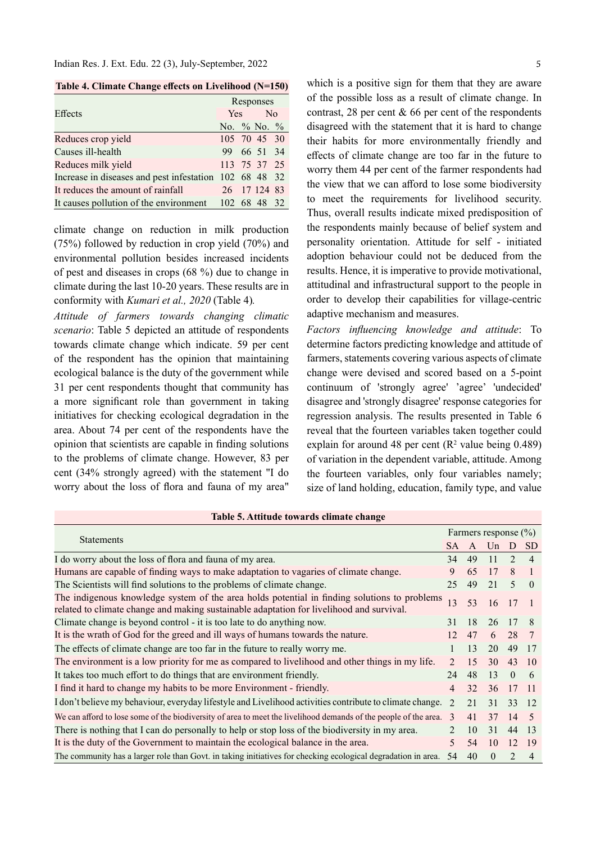Table 4. Climate Change effects on Livelihood (N=150)

|                                                        | Responses         |  |              |  |  |  |
|--------------------------------------------------------|-------------------|--|--------------|--|--|--|
| Effects                                                |                   |  | Yes No       |  |  |  |
|                                                        | No. $\%$ No. $\%$ |  |              |  |  |  |
| Reduces crop yield                                     |                   |  | 105 70 45 30 |  |  |  |
| Causes ill-health                                      |                   |  | 99 66 51 34  |  |  |  |
| Reduces milk yield                                     |                   |  | 113 75 37 25 |  |  |  |
| Increase in diseases and pest infestation 102 68 48 32 |                   |  |              |  |  |  |
| It reduces the amount of rainfall                      |                   |  | 26 17 124 83 |  |  |  |
| It causes pollution of the environment 102 68 48 32    |                   |  |              |  |  |  |

climate change on reduction in milk production (75%) followed by reduction in crop yield (70%) and environmental pollution besides increased incidents of pest and diseases in crops (68 %) due to change in climate during the last 10-20 years. These results are in conformity with Kumari et al., 2020 (Table 4).

Attitude of farmers towards changing climatic scenario: Table 5 depicted an attitude of respondents towards climate change which indicate. 59 per cent of the respondent has the opinion that maintaining ecological balance is the duty of the government while 31 per cent respondents thought that community has a more significant role than government in taking initiatives for checking ecological degradation in the area. About 74 per cent of the respondents have the opinion that scientists are capable in finding solutions to the problems of climate change. However, 83 per cent (34% strongly agreed) with the statement "I do worry about the loss of flora and fauna of my area"

which is a positive sign for them that they are aware of the possible loss as a result of climate change. In contrast, 28 per cent  $\&$  66 per cent of the respondents disagreed with the statement that it is hard to change their habits for more environmentally friendly and effects of climate change are too far in the future to worry them 44 per cent of the farmer respondents had the view that we can afford to lose some biodiversity to meet the requirements for livelihood security. Thus, overall results indicate mixed predisposition of the respondents mainly because of belief system and personality orientation. Attitude for self - initiated adoption behaviour could not be deduced from the results. Hence, it is imperative to provide motivational, attitudinal and infrastructural support to the people in order to develop their capabilities for village-centric adaptive mechanism and measures.

Factors influencing knowledge and attitude: To determine factors predicting knowledge and attitude of farmers, statements covering various aspects of climate change were devised and scored based on a 5-point continuum of 'strongly agree' 'agree' 'undecided' disagree and 'strongly disagree' response categories for regression analysis. The results presented in Table 6 reveal that the fourteen variables taken together could explain for around 48 per cent  $(R^2 \text{ value being } 0.489)$ of variation in the dependent variable, attitude. Among the fourteen variables, only four variables namely; size of land holding, education, family type, and value

|  | Table 5. Attitude towards climate change |  |  |  |
|--|------------------------------------------|--|--|--|
|--|------------------------------------------|--|--|--|

|                                                                                                                                                                                          |                             |    | Farmers response $(\% )$ |                             |                          |
|------------------------------------------------------------------------------------------------------------------------------------------------------------------------------------------|-----------------------------|----|--------------------------|-----------------------------|--------------------------|
| <b>Statements</b>                                                                                                                                                                        | SА                          | A  |                          |                             | SD.                      |
| I do worry about the loss of flora and fauna of my area.                                                                                                                                 | 34                          | 49 | 11                       | $\mathcal{D}_{\mathcal{A}}$ | $\overline{\mathcal{A}}$ |
| Humans are capable of finding ways to make adaptation to vagaries of climate change.                                                                                                     | 9                           | 65 | 17                       | 8                           |                          |
| The Scientists will find solutions to the problems of climate change.                                                                                                                    | 25                          | 49 | 21                       | 5                           | $\theta$                 |
| The indigenous knowledge system of the area holds potential in finding solutions to problems<br>related to climate change and making sustainable adaptation for livelihood and survival. | 13                          | 53 | 16                       | 17                          |                          |
| Climate change is beyond control - it is too late to do anything now.                                                                                                                    | 31                          | 18 | 26                       | 17                          | 8                        |
| It is the wrath of God for the greed and ill ways of humans towards the nature.                                                                                                          | 12                          | 47 | 6                        | 28                          | 7                        |
| The effects of climate change are too far in the future to really worry me.                                                                                                              |                             | 13 | 20                       | 49                          | 17                       |
| The environment is a low priority for me as compared to livelihood and other things in my life.                                                                                          | $\mathcal{D}_{\mathcal{A}}$ | 15 | 30                       | 43                          | -10                      |
| It takes too much effort to do things that are environment friendly.                                                                                                                     | 24                          | 48 | 13                       | $\theta$                    | 6                        |
| I find it hard to change my habits to be more Environment - friendly.                                                                                                                    | 4                           | 32 | 36                       | 17                          | - 11                     |
| I don't believe my behaviour, everyday lifestyle and Livelihood activities contribute to climate change.                                                                                 | $\mathcal{D}_{\mathcal{A}}$ | 21 | 31                       | 33                          | -12                      |
| We can afford to lose some of the biodiversity of area to meet the livelihood demands of the people of the area.                                                                         | $\mathcal{R}$               | 41 | 37                       | 14                          | - 5                      |
| There is nothing that I can do personally to help or stop loss of the biodiversity in my area.                                                                                           | $\mathcal{D}_{\mathcal{A}}$ | 10 | 31                       | 44                          | 13                       |
| It is the duty of the Government to maintain the ecological balance in the area.                                                                                                         |                             | 54 | 10                       | 12                          | 19                       |
| The community has a larger role than Govt. in taking initiatives for checking ecological degradation in area.                                                                            | 54                          | 40 | $\Omega$                 | $\mathfrak{D}$              | 4                        |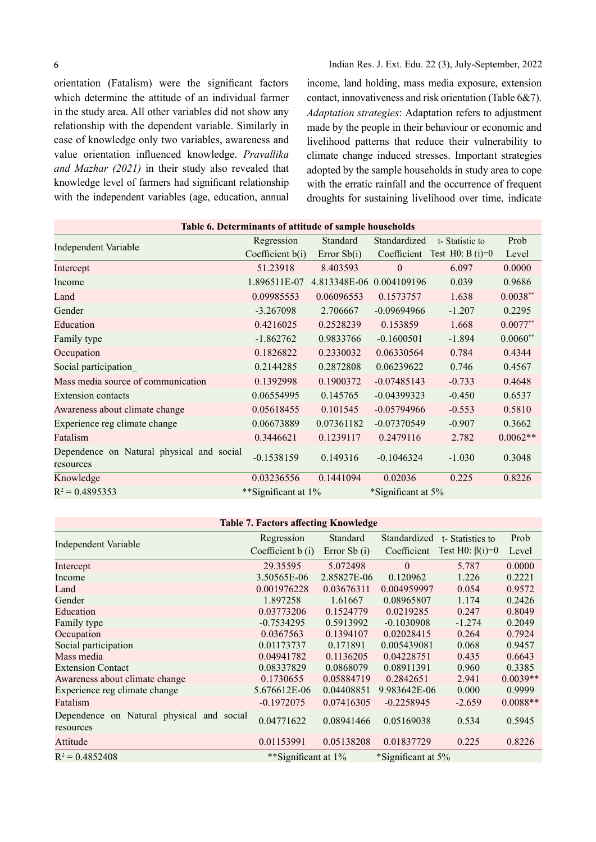6

orientation (Fatalism) were the significant factors which determine the attitude of an individual farmer in the study area. All other variables did not show any relationship with the dependent variable. Similarly in case of knowledge only two variables, awareness and value orientation influenced knowledge. Pravallika and Mazhar (2021) in their study also revealed that knowledge level of farmers had significant relationship with the independent variables (age, education, annual income, land holding, mass media exposure, extension contact, innovativeness and risk orientation (Table 6&7). Adaptation strategies: Adaptation refers to adjustment made by the people in their behaviour or economic and livelihood patterns that reduce their vulnerability to climate change induced stresses. Important strategies adopted by the sample households in study area to cope with the erratic rainfall and the occurrence of frequent droughts for sustaining livelihood over time, indicate

| Table 6. Determinants of attitude of sample households |                     |                          |                    |                    |            |  |  |
|--------------------------------------------------------|---------------------|--------------------------|--------------------|--------------------|------------|--|--|
| Independent Variable                                   | Regression          | Standard                 | Standardized       | t-Statistic to     | Prob       |  |  |
|                                                        | Coefficient $b(i)$  | Error $Sb(i)$            | Coefficient        | Test H0: B $(i)=0$ | Level      |  |  |
| Intercept                                              | 51.23918            | 8.403593                 | $\mathbf{0}$       | 6.097              | 0.0000     |  |  |
| Income                                                 | 1.896511E-07        | 4.813348E-06 0.004109196 |                    | 0.039              | 0.9686     |  |  |
| Land                                                   | 0.09985553          | 0.06096553               | 0.1573757          | 1.638              | $0.0038**$ |  |  |
| Gender                                                 | $-3.267098$         | 2.706667                 | $-0.09694966$      | $-1.207$           | 0.2295     |  |  |
| Education                                              | 0.4216025           | 0.2528239                | 0.153859           | 1.668              | $0.0077**$ |  |  |
| Family type                                            | $-1.862762$         | 0.9833766                | $-0.1600501$       | $-1.894$           | $0.0060**$ |  |  |
| Occupation                                             | 0.1826822           | 0.2330032                | 0.06330564         | 0.784              | 0.4344     |  |  |
| Social participation                                   | 0.2144285           | 0.2872808                | 0.06239622         | 0.746              | 0.4567     |  |  |
| Mass media source of communication                     | 0.1392998           | 0.1900372                | $-0.07485143$      | $-0.733$           | 0.4648     |  |  |
| <b>Extension contacts</b>                              | 0.06554995          | 0.145765                 | $-0.04399323$      | $-0.450$           | 0.6537     |  |  |
| Awareness about climate change                         | 0.05618455          | 0.101545                 | $-0.05794966$      | $-0.553$           | 0.5810     |  |  |
| Experience reg climate change                          | 0.06673889          | 0.07361182               | $-0.07370549$      | $-0.907$           | 0.3662     |  |  |
| Fatalism                                               | 0.3446621           | 0.1239117                | 0.2479116          | 2.782              | $0.0062**$ |  |  |
| Dependence on Natural physical and social<br>resources | $-0.1538159$        | 0.149316                 | $-0.1046324$       | $-1.030$           | 0.3048     |  |  |
| Knowledge                                              | 0.03236556          | 0.1441094                | 0.02036            | 0.225              | 0.8226     |  |  |
| $R^2 = 0.4895353$                                      | **Significant at 1% |                          | *Significant at 5% |                    |            |  |  |
|                                                        |                     |                          |                    |                    |            |  |  |

#### Table 7. Factors affecting Knowledge

|                                                        | Regression          | Standard       | Standardized       | t-Statistics to        | Prob       |
|--------------------------------------------------------|---------------------|----------------|--------------------|------------------------|------------|
| <b>Independent Variable</b>                            | Coefficient b (i)   | Error Sb $(i)$ | Coefficient        | Test H $0: \beta(i)=0$ | Level      |
| Intercept                                              | 29.35595            | 5.072498       | $\Omega$           | 5.787                  | 0.0000     |
| Income                                                 | 3.50565E-06         | 2.85827E-06    | 0.120962           | 1.226                  | 0.2221     |
| Land                                                   | 0.001976228         | 0.03676311     | 0.004959997        | 0.054                  | 0.9572     |
| Gender                                                 | 1.897258            | 1.61667        | 0.08965807         | 1.174                  | 0.2426     |
| Education                                              | 0.03773206          | 0.1524779      | 0.0219285          | 0.247                  | 0.8049     |
| Family type                                            | $-0.7534295$        | 0.5913992      | $-0.1030908$       | $-1.274$               | 0.2049     |
| Occupation                                             | 0.0367563           | 0.1394107      | 0.02028415         | 0.264                  | 0.7924     |
| Social participation                                   | 0.01173737          | 0.171891       | 0.005439081        | 0.068                  | 0.9457     |
| Mass media                                             | 0.04941782          | 0.1136205      | 0.04228751         | 0.435                  | 0.6643     |
| <b>Extension Contact</b>                               | 0.08337829          | 0.0868079      | 0.08911391         | 0.960                  | 0.3385     |
| Awareness about climate change                         | 0.1730655           | 0.05884719     | 0.2842651          | 2.941                  | $0.0039**$ |
| Experience reg climate change                          | 5.676612E-06        | 0.04408851     | 9.983642E-06       | 0.000                  | 0.9999     |
| Fatalism                                               | $-0.1972075$        | 0.07416305     | $-0.2258945$       | $-2.659$               | $0.0088**$ |
| Dependence on Natural physical and social<br>resources | 0.04771622          | 0.08941466     | 0.05169038         | 0.534                  | 0.5945     |
| Attitude                                               | 0.01153991          | 0.05138208     | 0.01837729         | 0.225                  | 0.8226     |
| $R^2 = 0.4852408$                                      | **Significant at 1% |                | *Significant at 5% |                        |            |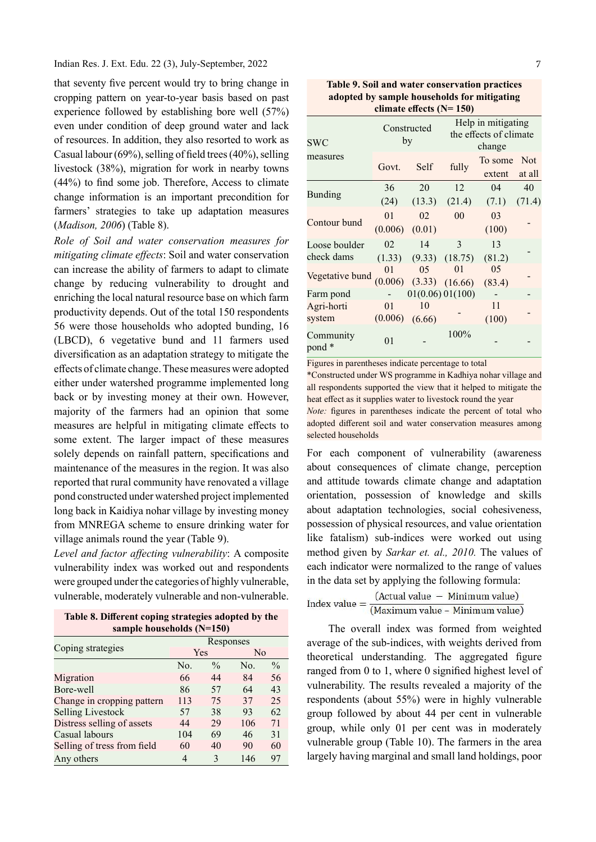that seventy five percent would try to bring change in cropping pattern on year-to-year basis based on past experience followed by establishing bore well (57%) even under condition of deep ground water and lack of resources. In addition, they also resorted to work as Casual labour (69%), selling of field trees (40%), selling livestock (38%), migration for work in nearby towns  $(44%)$  to find some job. Therefore, Access to climate change information is an important precondition for farmers' strategies to take up adaptation measures (Madison, 2006) (Table 8).

Role of Soil and water conservation measures for mitigating climate effects: Soil and water conservation can increase the ability of farmers to adapt to climate change by reducing vulnerability to drought and enriching the local natural resource base on which farm productivity depends. Out of the total 150 respondents 56 were those households who adopted bunding, 16 (LBCD), 6 vegetative bund and 11 farmers used diversification as an adaptation strategy to mitigate the effects of climate change. These measures were adopted either under watershed programme implemented long back or by investing money at their own. However, majority of the farmers had an opinion that some measures are helpful in mitigating climate effects to some extent. The larger impact of these measures solely depends on rainfall pattern, specifications and maintenance of the measures in the region. It was also reported that rural community have renovated a village pond constructed under watershed project implemented long back in Kaidiya nohar village by investing money from MNREGA scheme to ensure drinking water for village animals round the year (Table 9).

Level and factor affecting vulnerability: A composite vulnerability index was worked out and respondents were grouped under the categories of highly vulnerable,

| Table 8. Different coping strategies adopted by the |  |
|-----------------------------------------------------|--|
| sample households $(N=150)$                         |  |

|                             | Responses |               |     |               |  |  |  |
|-----------------------------|-----------|---------------|-----|---------------|--|--|--|
| Coping strategies           | Yes       |               | No  |               |  |  |  |
|                             | No.       | $\frac{0}{0}$ | No. | $\frac{0}{0}$ |  |  |  |
| Migration                   | 66        | 44            | 84  | 56            |  |  |  |
| Bore-well                   | 86        | 57            | 64  | 43            |  |  |  |
| Change in cropping pattern  | 113       | 75            | 37  | 25            |  |  |  |
| <b>Selling Livestock</b>    | 57        | 38            | 93  | 62            |  |  |  |
| Distress selling of assets  | 44        | 29            | 106 | 71            |  |  |  |
| Casual labours              | 104       | 69            | 46  | 31            |  |  |  |
| Selling of tress from field | 60        | 40            | 90  | 60            |  |  |  |
| Any others                  | 4         | 3             | 146 | 97            |  |  |  |

Table 9. Soil and water conservation practices adopted by sample households for mitigating climate effects  $(N= 150)$ 

| <b>SWC</b>          |                | Constructed<br>by            |        | Help in mitigating<br>the effects of climate<br>change |                      |  |  |
|---------------------|----------------|------------------------------|--------|--------------------------------------------------------|----------------------|--|--|
| measures            | Govt.          | Self                         | fully  | To some<br>extent                                      | <b>Not</b><br>at all |  |  |
|                     | 36             | 20                           | 12     | 04                                                     | 40                   |  |  |
| <b>Bunding</b>      | (24)           | (13.3)                       | (21.4) | (7.1)                                                  | (71.4)               |  |  |
| Contour bund        | 0 <sub>1</sub> | 02                           | 00     | 03                                                     |                      |  |  |
|                     |                | $(0.006)$ $(0.01)$           |        | (100)                                                  |                      |  |  |
| Loose boulder       | 02             | 14                           | 3      | 13                                                     |                      |  |  |
| check dams          |                | $(1.33)$ $(9.33)$ $(18.75)$  |        | (81.2)                                                 |                      |  |  |
| Vegetative bund     | 01             | 05                           | 01     | 05                                                     |                      |  |  |
|                     |                | $(0.006)$ $(3.33)$ $(16.66)$ |        | (83.4)                                                 |                      |  |  |
| Farm pond           |                | 01(0.06) 01(100)             |        |                                                        |                      |  |  |
| Agri-horti          | 0 <sub>1</sub> | 10                           |        | 11                                                     |                      |  |  |
| system              | (0.006)        | (6.66)                       |        | (100)                                                  |                      |  |  |
| Community<br>pond * | 01             |                              | 100%   |                                                        |                      |  |  |

Figures in parentheses indicate percentage to total

\*Constructed under WS programme in Kadhiya nohar village and all respondents supported the view that it helped to mitigate the heat effect as it supplies water to livestock round the year Note: figures in parentheses indicate the percent of total who adopted different soil and water conservation measures among selected households

For each component of vulnerability (awareness about consequences of climate change, perception and attitude towards climate change and adaptation orientation, possession of knowledge and skills about adaptation technologies, social cohesiveness, possession of physical resources, and value orientation like fatalism) sub-indices were worked out using method given by Sarkar et. al., 2010. The values of each indicator were normalized to the range of values in the data set by applying the following formula:

vulnerable, moderately vulnerable and non-vulnerable.<br>
Index value =  $\frac{(Actual value - Minimum value)}{(Maximum value - Minimum value)}$ 

The overall index was formed from weighted average of the sub-indices, with weights derived from theoretical understanding. The aggregated figure ranged from  $0$  to 1, where  $0$  signified highest level of vulnerability. The results revealed a majority of the respondents (about 55%) were in highly vulnerable group followed by about 44 per cent in vulnerable group, while only 01 per cent was in moderately vulnerable group (Table 10). The farmers in the area largely having marginal and small land holdings, poor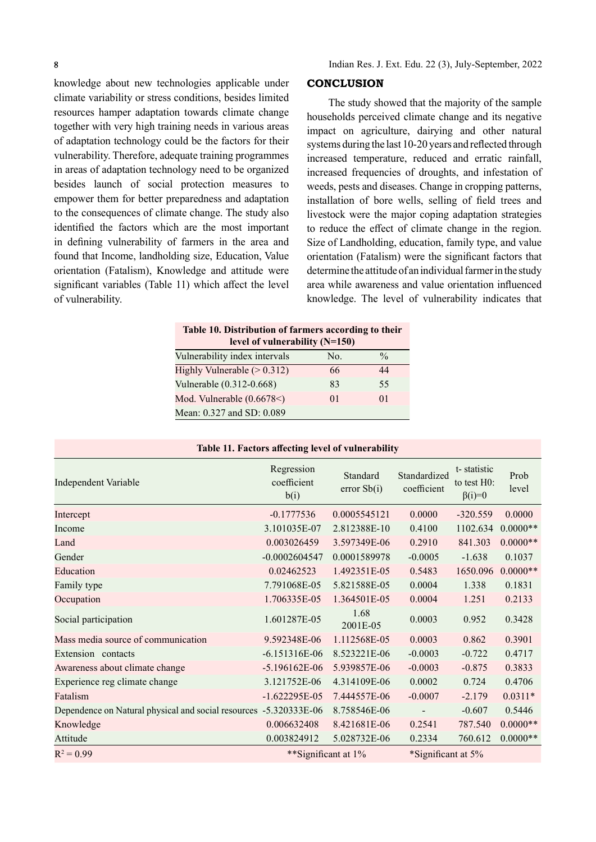knowledge about new technologies applicable under climate variability or stress conditions, besides limited resources hamper adaptation towards climate change together with very high training needs in various areas of adaptation technology could be the factors for their vulnerability. Therefore, adequate training programmes in areas of adaptation technology need to be organized besides launch of social protection measures to empower them for better preparedness and adaptation to the consequences of climate change. The study also identified the factors which are the most important in defining vulnerability of farmers in the area and found that Income, landholding size, Education, Value orientation (Fatalism), Knowledge and attitude were significant variables (Table 11) which affect the level of vulnerability.

## **CONCLUSION**

The study showed that the majority of the sample households perceived climate change and its negative impact on agriculture, dairying and other natural systems during the last 10-20 years and reflected through increased temperature, reduced and erratic rainfall, increased frequencies of droughts, and infestation of weeds, pests and diseases. Change in cropping patterns, installation of bore wells, selling of field trees and livestock were the major coping adaptation strategies to reduce the effect of climate change in the region. Size of Landholding, education, family type, and value orientation (Fatalism) were the significant factors that determine the attitude of an individual farmer in the study area while awareness and value orientation influenced knowledge. The level of vulnerability indicates that

| Table 10. Distribution of farmers according to their<br>level of vulnerability (N=150) |                |                |  |  |  |
|----------------------------------------------------------------------------------------|----------------|----------------|--|--|--|
| Vulnerability index intervals                                                          | No.            | $\frac{0}{0}$  |  |  |  |
| Highly Vulnerable $(> 0.312)$                                                          | 66             | 44             |  |  |  |
| Vulnerable (0.312-0.668)                                                               | 83             | 55             |  |  |  |
| Mod. Vulnerable (0.6678<)                                                              | 0 <sub>1</sub> | 0 <sub>1</sub> |  |  |  |
| Mean: 0.327 and SD: 0.089                                                              |                |                |  |  |  |

|  |  | <b>Table 11. Factors affecting level of vulnerability</b> |  |
|--|--|-----------------------------------------------------------|--|
|  |  |                                                           |  |

| <b>Independent Variable</b>                                       | Regression<br>coefficient<br>b(i) | Standard<br>error Sb(i) | Standardized<br>coefficient | t-statistic<br>to test $H0$ :<br>$\beta(i)=0$ | Prob<br>level |
|-------------------------------------------------------------------|-----------------------------------|-------------------------|-----------------------------|-----------------------------------------------|---------------|
| Intercept                                                         | $-0.1777536$                      | 0.0005545121            | 0.0000                      | $-320.559$                                    | 0.0000        |
| Income                                                            | 3.101035E-07                      | 2.812388E-10            | 0.4100                      | 1102.634                                      | $0.0000**$    |
| Land                                                              | 0.003026459                       | 3.597349E-06            | 0.2910                      | 841.303                                       | $0.0000**$    |
| Gender                                                            | $-0.0002604547$                   | 0.0001589978            | $-0.0005$                   | $-1.638$                                      | 0.1037        |
| Education                                                         | 0.02462523                        | 1.492351E-05            | 0.5483                      | 1650.096                                      | $0.0000**$    |
| Family type                                                       | 7.791068E-05                      | 5.821588E-05            | 0.0004                      | 1.338                                         | 0.1831        |
| Occupation                                                        | 1.706335E-05                      | 1.364501E-05            | 0.0004                      | 1.251                                         | 0.2133        |
| Social participation                                              | 1.601287E-05                      | 1.68<br>2001E-05        | 0.0003                      | 0.952                                         | 0.3428        |
| Mass media source of communication                                | 9.592348E-06                      | 1.112568E-05            | 0.0003                      | 0.862                                         | 0.3901        |
| Extension contacts                                                | $-6.151316E-06$                   | 8.523221E-06            | $-0.0003$                   | $-0.722$                                      | 0.4717        |
| Awareness about climate change                                    | $-5.196162E-06$                   | 5.939857E-06            | $-0.0003$                   | $-0.875$                                      | 0.3833        |
| Experience reg climate change                                     | 3.121752E-06                      | 4.314109E-06            | 0.0002                      | 0.724                                         | 0.4706        |
| Fatalism                                                          | $-1.622295E-05$                   | 7.444557E-06            | $-0.0007$                   | $-2.179$                                      | $0.0311*$     |
| Dependence on Natural physical and social resources -5.320333E-06 |                                   | 8.758546E-06            |                             | $-0.607$                                      | 0.5446        |
| Knowledge                                                         | 0.006632408                       | 8.421681E-06            | 0.2541                      | 787.540                                       | $0.0000**$    |
| Attitude                                                          | 0.003824912                       | 5.028732E-06            | 0.2334                      | 760.612                                       | $0.0000**$    |
| $R^2 = 0.99$                                                      | **Significant at 1%               |                         |                             | *Significant at 5%                            |               |